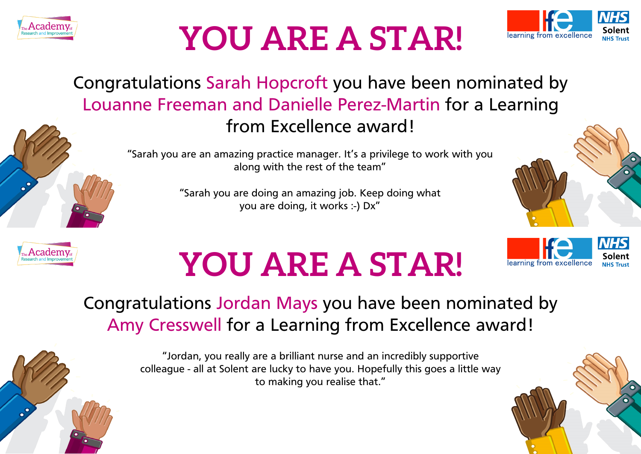



learning from excellence

#### Congratulations Sarah Hopcroft you have been nominated by Louanne Freeman and Danielle Perez-Martin for a Learning from Excellence award!

"Sarah you are an amazing practice manager. It's a privilege to work with you along with the rest of the team"

> "Sarah you are doing an amazing job. Keep doing what you are doing, it works :-) Dx"



### **YOU ARE A STAR!**

#### Congratulations Jordan Mays you have been nominated by Amy Cresswell for a Learning from Excellence award!

"Jordan, you really are a brilliant nurse and an incredibly supportive colleague - all at Solent are lucky to have you. Hopefully this goes a little way to making you realise that."

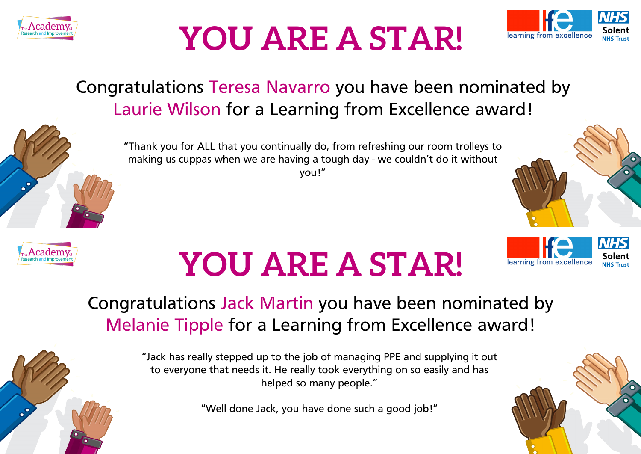



#### Congratulations Teresa Navarro you have been nominated by Laurie Wilson for a Learning from Excellence award!



"Thank you for ALL that you continually do, from refreshing our room trolleys to making us cuppas when we are having a tough day - we couldn't do it without you!"





# **YOU ARE A STAR!**

#### Congratulations Jack Martin you have been nominated by Melanie Tipple for a Learning from Excellence award!

"Jack has really stepped up to the job of managing PPE and supplying it out to everyone that needs it. He really took everything on so easily and has helped so many people."

"Well done Jack, you have done such a good job!"

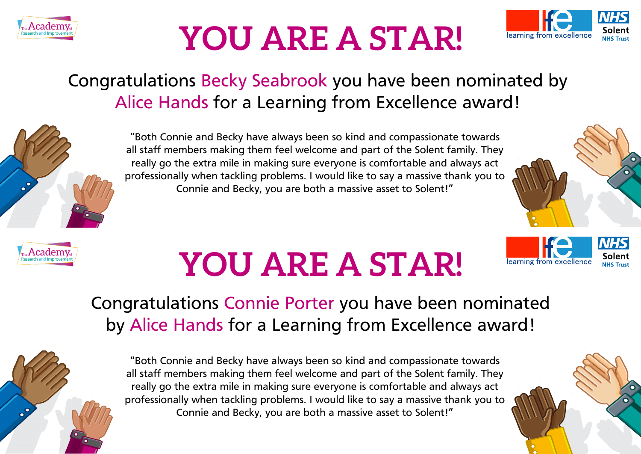



#### Congratulations Becky Seabrook you have been nominated by Alice Hands for a Learning from Excellence award!





#### "Both Connie and Becky have always been so kind and compassionate towards all staff members making them feel welcome and part of the Solent family. They really go the extra mile in making sure everyone is comfortable and always act professionally when tackling problems. I would like to say a massive thank you to Connie and Becky, you are both a massive asset to Solent!"



learning from excellence

**NH** inlent

# **YOU ARE A STAR!**

#### Congratulations Connie Porter you have been nominated by Alice Hands for a Learning from Excellence award!



"Both Connie and Becky have always been so kind and compassionate towards all staff members making them feel welcome and part of the Solent family. They really go the extra mile in making sure everyone is comfortable and always act professionally when tackling problems. I would like to say a massive thank you to Connie and Becky, you are both a massive asset to Solent!"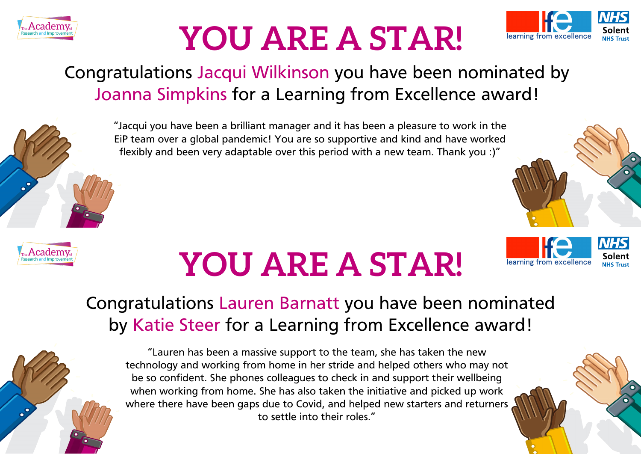



learning from excellence

#### Congratulations Jacqui Wilkinson you have been nominated by Joanna Simpkins for a Learning from Excellence award!



"Jacqui you have been a brilliant manager and it has been a pleasure to work in the EiP team over a global pandemic! You are so supportive and kind and have worked flexibly and been very adaptable over this period with a new team. Thank you :)"



# **YOU ARE A STAR!**

#### Congratulations Lauren Barnatt you have been nominated by Katie Steer for a Learning from Excellence award!



"Lauren has been a massive support to the team, she has taken the new technology and working from home in her stride and helped others who may not be so confident. She phones colleagues to check in and support their wellbeing when working from home. She has also taken the initiative and picked up work where there have been gaps due to Covid, and helped new starters and returners to settle into their roles."

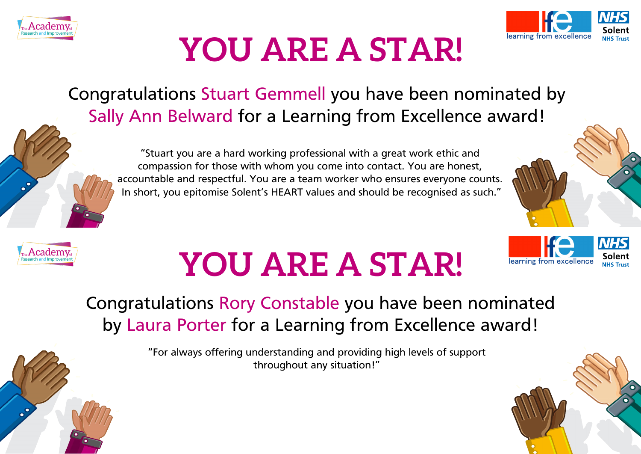



#### Congratulations Stuart Gemmell you have been nominated by Sally Ann Belward for a Learning from Excellence award!

"Stuart you are a hard working professional with a great work ethic and compassion for those with whom you come into contact. You are honest, accountable and respectful. You are a team worker who ensures everyone counts. In short, you epitomise Solent's HEART values and should be recognised as such."



learning from excel

Solent



# **YOU ARE A STAR!**

### Congratulations Rory Constable you have been nominated by Laura Porter for a Learning from Excellence award!

"For always offering understanding and providing high levels of support throughout any situation!"

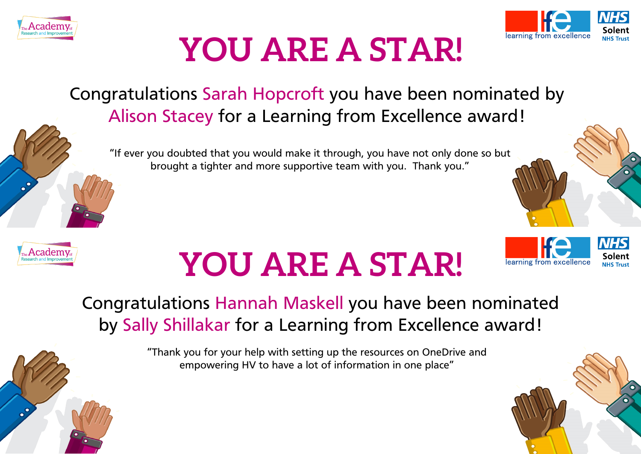



#### Congratulations Sarah Hopcroft you have been nominated by Alison Stacey for a Learning from Excellence award!

"If ever you doubted that you would make it through, you have not only done so but brought a tighter and more supportive team with you. Thank you."



# **YOU ARE A STAR!**



#### Congratulations Hannah Maskell you have been nominated by Sally Shillakar for a Learning from Excellence award!

"Thank you for your help with setting up the resources on OneDrive and empowering HV to have a lot of information in one place"

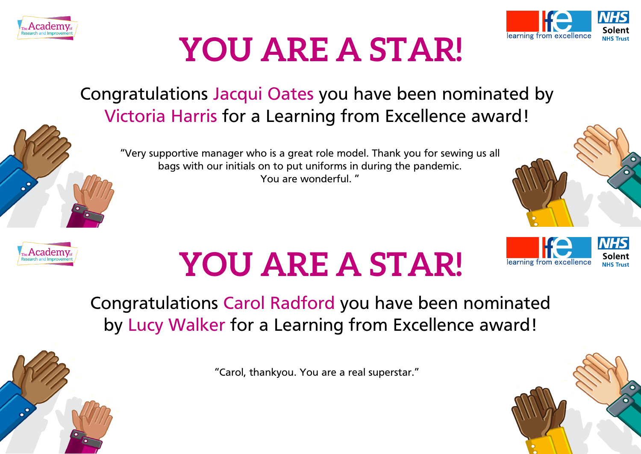



#### Congratulations Jacqui Oates you have been nominated by Victoria Harris for a Learning from Excellence award!

"Very supportive manager who is a great role model. Thank you for sewing us all bags with our initials on to put uniforms in during the pandemic. You are wonderful. "





# **YOU ARE A STAR!**



Congratulations Carol Radford you have been nominated by Lucy Walker for a Learning from Excellence award!

"Carol, thankyou. You are a real superstar."

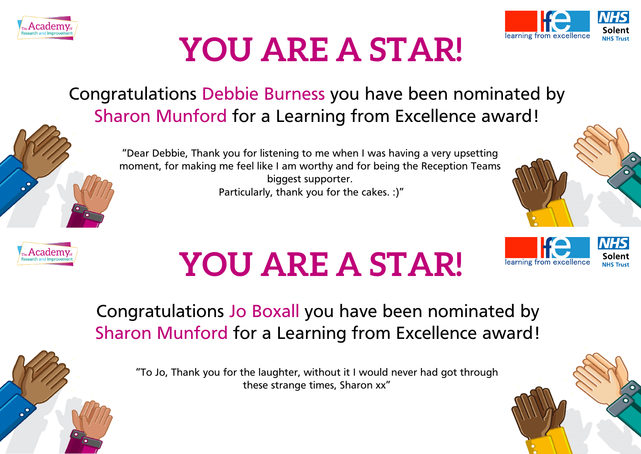



#### Congratulations Debbie Burness you have been nominated by Sharon Munford for a Learning from Excellence award!





learning from excellence

**NHS** Solent



# **YOU ARE A STAR!**

### Congratulations Jo Boxall you have been nominated by Sharon Munford for a Learning from Excellence award!

"To Jo, Thank you for the laughter, without it I would never had got through these strange times, Sharon xx"

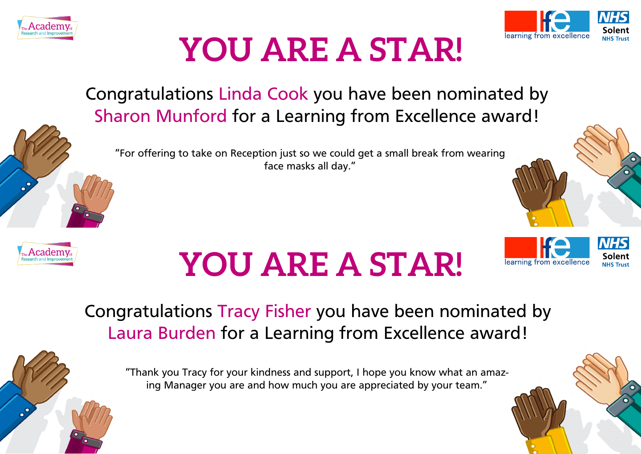



Congratulations Linda Cook you have been nominated by Sharon Munford for a Learning from Excellence award!

"For offering to take on Reception just so we could get a small break from wearing face masks all day."



# **YOU ARE A STAR!**



Congratulations Tracy Fisher you have been nominated by Laura Burden for a Learning from Excellence award!

"Thank you Tracy for your kindness and support, I hope you know what an amazing Manager you are and how much you are appreciated by your team."

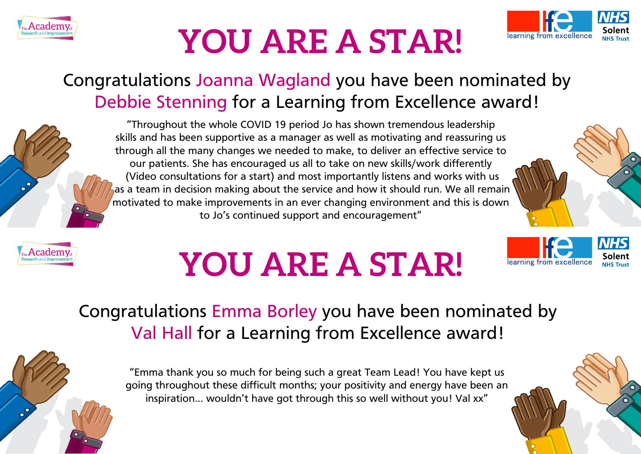



#### Congratulations Joanna Wagland you have been nominated by Debbie Stenning for a Learning from Excellence award!





"Throughout the whole COVID 19 period Jo has shown tremendous leadership skills and has been supportive as a manager as well as motivating and reassuring us through all the many changes we needed to make, to deliver an effective service to our patients. She has encouraged us all to take on new skills/work differently (Video consultations for a start) and most importantly listens and works with us as a team in decision making about the service and how it should run. We all remain motivated to make improvements in an ever changing environment and this is down to Jo's continued support and encouragement"

# **YOU ARE A STAR!**



Congratulations Emma Borley you have been nominated by Val Hall for a Learning from Excellence award!

"Emma thank you so much for being such a great Team Lead! You have kept us going throughout these difficult months; your positivity and energy have been an inspiration... wouldn't have got through this so well without you! Val xx"

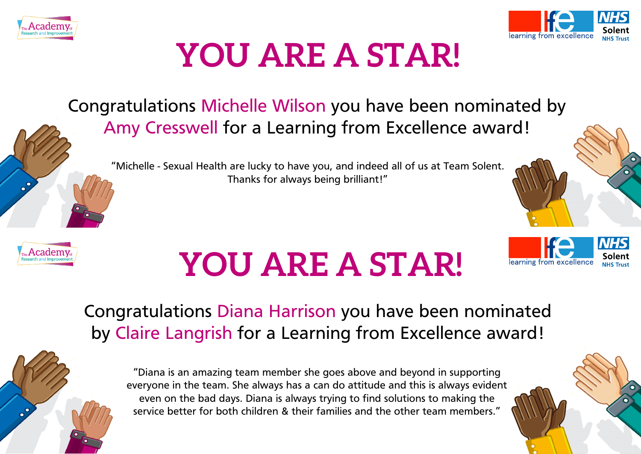



learning from excellence

### **YOU ARE A STAR!**

Congratulations Michelle Wilson you have been nominated by Amy Cresswell for a Learning from Excellence award!

"Michelle - Sexual Health are lucky to have you, and indeed all of us at Team Solent. Thanks for always being brilliant!"



# **YOU ARE A STAR!**

Congratulations Diana Harrison you have been nominated by Claire Langrish for a Learning from Excellence award!

"Diana is an amazing team member she goes above and beyond in supporting everyone in the team. She always has a can do attitude and this is always evident even on the bad days. Diana is always trying to find solutions to making the service better for both children & their families and the other team members."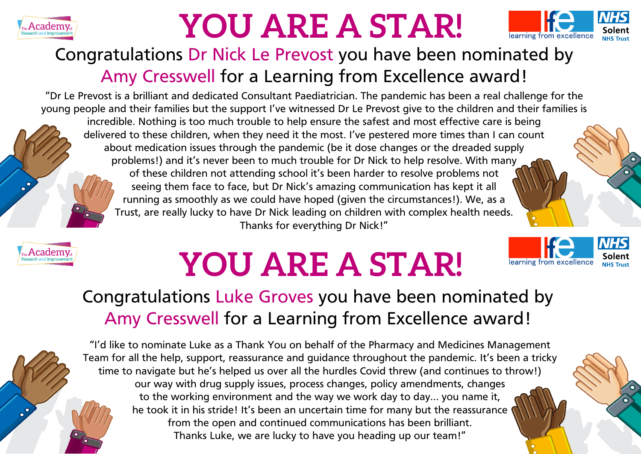



learning from excellence

#### Congratulations Dr Nick Le Prevost you have been nominated by Amy Cresswell for a Learning from Excellence award!

"Dr Le Prevost is a brilliant and dedicated Consultant Paediatrician. The pandemic has been a real challenge for the young people and their families but the support I've witnessed Dr Le Prevost give to the children and their families is incredible. Nothing is too much trouble to help ensure the safest and most effective care is being delivered to these children, when they need it the most. I've pestered more times than I can count about medication issues through the pandemic (be it dose changes or the dreaded supply problems!) and it's never been to much trouble for Dr Nick to help resolve. With many of these children not attending school it's been harder to resolve problems not seeing them face to face, but Dr Nick's amazing communication has kept it all running as smoothly as we could have hoped (given the circumstances!). We, as a Trust, are really lucky to have Dr Nick leading on children with complex health needs. Thanks for everything Dr Nick!"



# **YOU ARE A STAR!**

#### Congratulations Luke Groves you have been nominated by Amy Cresswell for a Learning from Excellence award!

"I'd like to nominate Luke as a Thank You on behalf of the Pharmacy and Medicines Management Team for all the help, support, reassurance and guidance throughout the pandemic. It's been a tricky time to navigate but he's helped us over all the hurdles Covid threw (and continues to throw!) our way with drug supply issues, process changes, policy amendments, changes to the working environment and the way we work day to day… you name it, he took it in his stride! It's been an uncertain time for many but the reassurance from the open and continued communications has been brilliant. Thanks Luke, we are lucky to have you heading up our team!"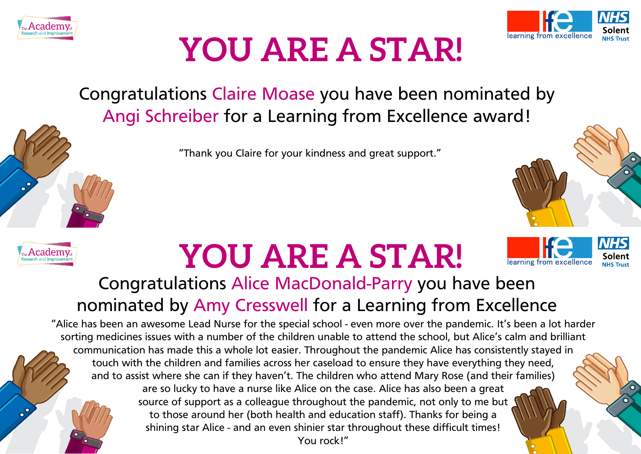



Congratulations Claire Moase you have been nominated by Angi Schreiber for a Learning from Excellence award!

"Thank you Claire for your kindness and great support."



### **YOU ARE A STAR!**



#### Congratulations Alice MacDonald-Parry you have been nominated by Amy Cresswell for a Learning from Excellence

"Alice has been an awesome Lead Nurse for the special school - even more over the pandemic. It's been a lot harder sorting medicines issues with a number of the children unable to attend the school, but Alice's calm and brilliant communication has made this a whole lot easier. Throughout the pandemic Alice has consistently stayed in touch with the children and families across her caseload to ensure they have everything they need, and to assist where she can if they haven't. The children who attend Mary Rose (and their families) are so lucky to have a nurse like Alice on the case. Alice has also been a great source of support as a colleague throughout the pandemic, not only to me but to those around her (both health and education staff). Thanks for being a shining star Alice - and an even shinier star throughout these difficult times!

You rock!"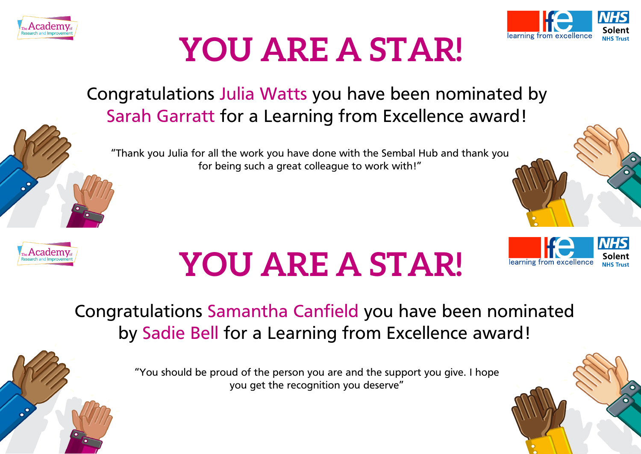



#### Congratulations Julia Watts you have been nominated by Sarah Garratt for a Learning from Excellence award!

"Thank you Julia for all the work you have done with the Sembal Hub and thank you for being such a great colleague to work with!"



# **YOU ARE A STAR!**



#### Congratulations Samantha Canfield you have been nominated by Sadie Bell for a Learning from Excellence award!

"You should be proud of the person you are and the support you give. I hope you get the recognition you deserve"

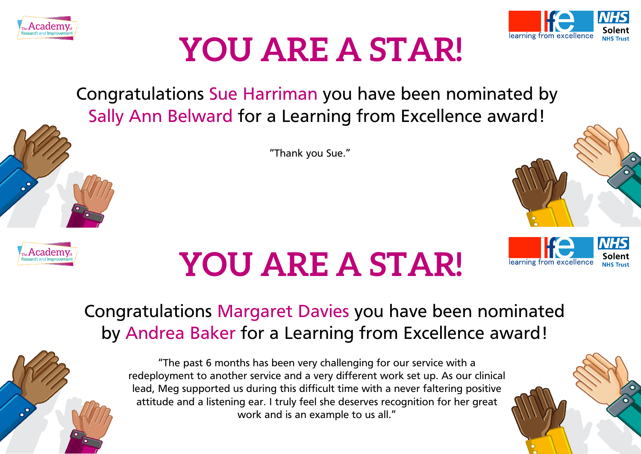



Congratulations Sue Harriman you have been nominated by Sally Ann Belward for a Learning from Excellence award!

"Thank you Sue."



# **YOU ARE A STAR!**



#### Congratulations Margaret Davies you have been nominated by Andrea Baker for a Learning from Excellence award!

"The past 6 months has been very challenging for our service with a redeployment to another service and a very different work set up. As our clinical lead, Meg supported us during this difficult time with a never faltering positive attitude and a listening ear. I truly feel she deserves recognition for her great work and is an example to us all."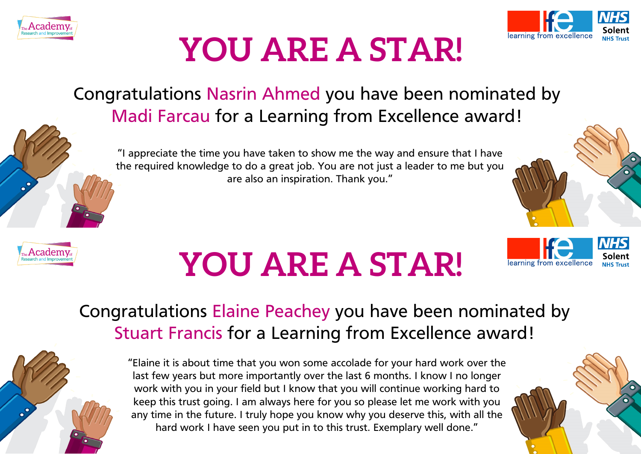



learning from excellence

### **YOU ARE A STAR!**

#### Congratulations Nasrin Ahmed you have been nominated by Madi Farcau for a Learning from Excellence award!





#### "I appreciate the time you have taken to show me the way and ensure that I have the required knowledge to do a great job. You are not just a leader to me but you are also an inspiration. Thank you."



#### Congratulations Elaine Peachey you have been nominated by Stuart Francis for a Learning from Excellence award!



"Elaine it is about time that you won some accolade for your hard work over the last few years but more importantly over the last 6 months. I know I no longer work with you in your field but I know that you will continue working hard to keep this trust going. I am always here for you so please let me work with you any time in the future. I truly hope you know why you deserve this, with all the hard work I have seen you put in to this trust. Exemplary well done."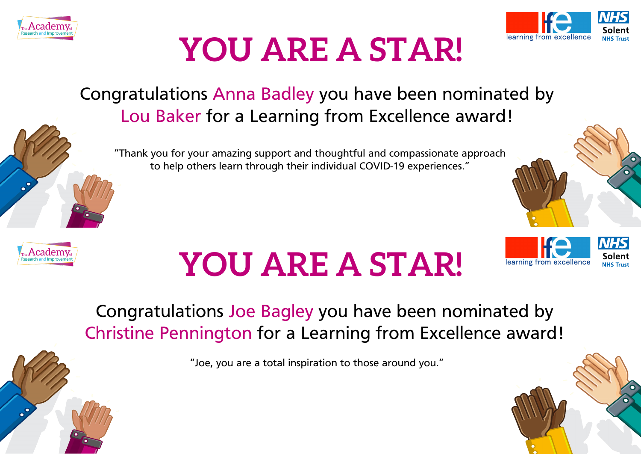



#### Congratulations Anna Badley you have been nominated by Lou Baker for a Learning from Excellence award!

"Thank you for your amazing support and thoughtful and compassionate approach to help others learn through their individual COVID-19 experiences."



# **YOU ARE A STAR!**



#### Congratulations Joe Bagley you have been nominated by Christine Pennington for a Learning from Excellence award!

"Joe, you are a total inspiration to those around you."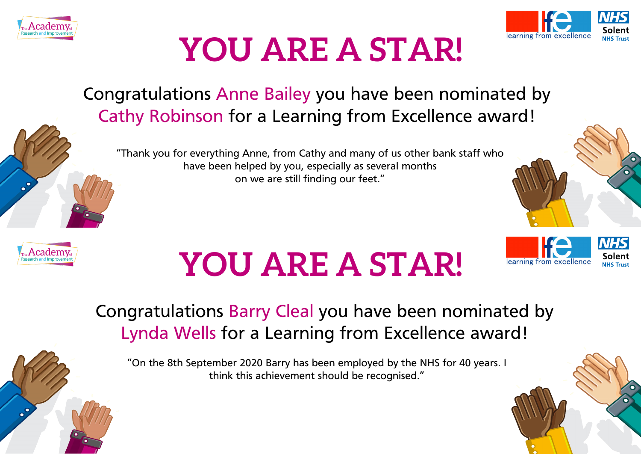



#### Congratulations Anne Bailey you have been nominated by Cathy Robinson for a Learning from Excellence award!

"Thank you for everything Anne, from Cathy and many of us other bank staff who have been helped by you, especially as several months on we are still finding our feet."



learning from excellence



# **YOU ARE A STAR!**

#### Congratulations Barry Cleal you have been nominated by Lynda Wells for a Learning from Excellence award!

"On the 8th September 2020 Barry has been employed by the NHS for 40 years. I think this achievement should be recognised."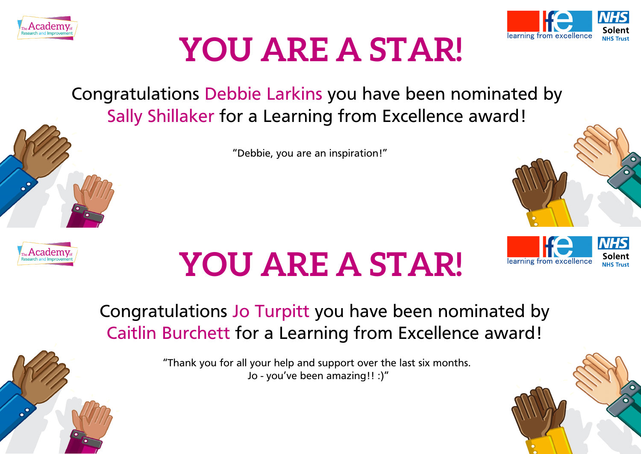



Congratulations Debbie Larkins you have been nominated by Sally Shillaker for a Learning from Excellence award!

"Debbie, you are an inspiration!"



# **YOU ARE A STAR!**



#### Congratulations Jo Turpitt you have been nominated by Caitlin Burchett for a Learning from Excellence award!

"Thank you for all your help and support over the last six months. Jo - you've been amazing!! :)"

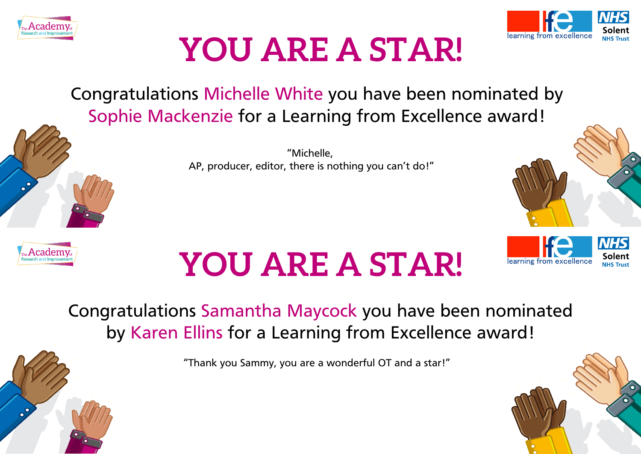



Congratulations Michelle White you have been nominated by Sophie Mackenzie for a Learning from Excellence award!

> "Michelle, AP, producer, editor, there is nothing you can't do!"



# **YOU ARE A STAR!**



Congratulations Samantha Maycock you have been nominated by Karen Ellins for a Learning from Excellence award!

"Thank you Sammy, you are a wonderful OT and a star!"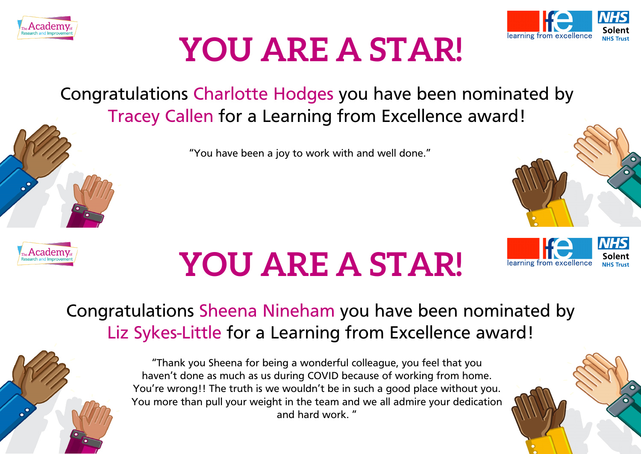



Congratulations Charlotte Hodges you have been nominated by Tracey Callen for a Learning from Excellence award!

"You have been a joy to work with and well done."



# **YOU ARE A STAR!**



#### Congratulations Sheena Nineham you have been nominated by Liz Sykes-Little for a Learning from Excellence award!



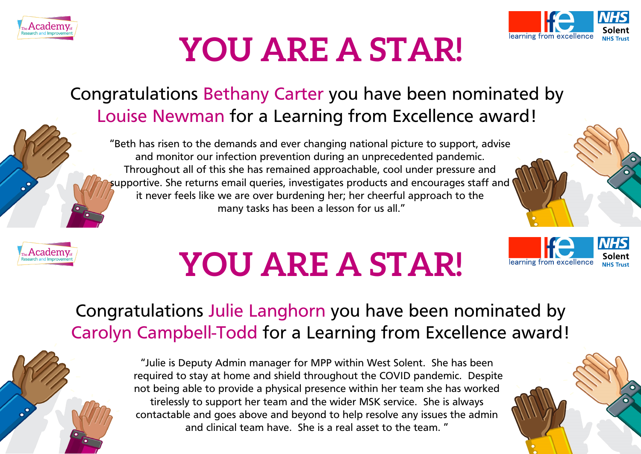



#### Congratulations Bethany Carter you have been nominated by Louise Newman for a Learning from Excellence award!

"Beth has risen to the demands and ever changing national picture to support, advise and monitor our infection prevention during an unprecedented pandemic. Throughout all of this she has remained approachable, cool under pressure and supportive. She returns email queries, investigates products and encourages staff and it never feels like we are over burdening her; her cheerful approach to the many tasks has been a lesson for us all."



# **YOU ARE A STAR!**





"Julie is Deputy Admin manager for MPP within West Solent. She has been required to stay at home and shield throughout the COVID pandemic. Despite not being able to provide a physical presence within her team she has worked tirelessly to support her team and the wider MSK service. She is always contactable and goes above and beyond to help resolve any issues the admin and clinical team have. She is a real asset to the team. "



learning from excellence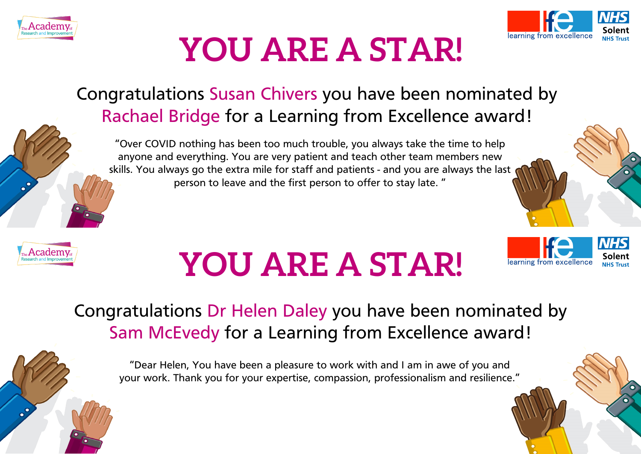



#### Congratulations Susan Chivers you have been nominated by Rachael Bridge for a Learning from Excellence award!

"Over COVID nothing has been too much trouble, you always take the time to help anyone and everything. You are very patient and teach other team members new skills. You always go the extra mile for staff and patients - and you are always the last person to leave and the first person to offer to stay late. "



# **YOU ARE A STAR!**

#### Congratulations Dr Helen Daley you have been nominated by Sam McEvedy for a Learning from Excellence award!

"Dear Helen, You have been a pleasure to work with and I am in awe of you and your work. Thank you for your expertise, compassion, professionalism and resilience."

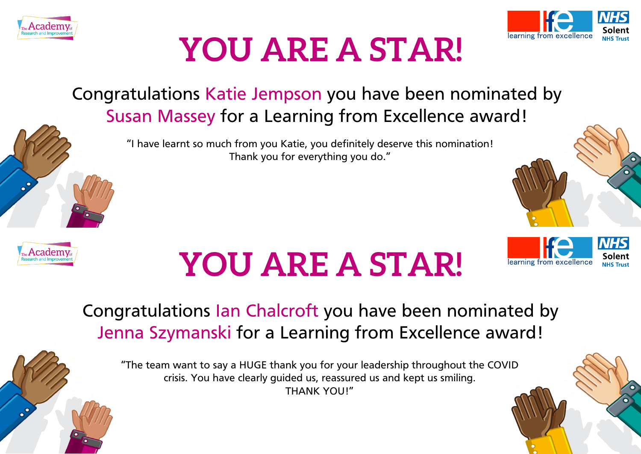



#### Congratulations Katie Jempson you have been nominated by Susan Massey for a Learning from Excellence award!

"I have learnt so much from you Katie, you definitely deserve this nomination! Thank you for everything you do."



# **YOU ARE A STAR!**



#### Congratulations Ian Chalcroft you have been nominated by Jenna Szymanski for a Learning from Excellence award!

"The team want to say a HUGE thank you for your leadership throughout the COVID crisis. You have clearly guided us, reassured us and kept us smiling. THANK YOU!"

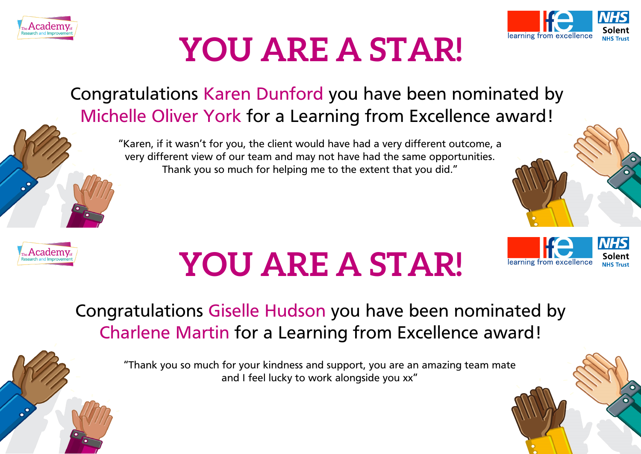



#### Congratulations Karen Dunford you have been nominated by Michelle Oliver York for a Learning from Excellence award!

"Karen, if it wasn't for you, the client would have had a very different outcome, a very different view of our team and may not have had the same opportunities. Thank you so much for helping me to the extent that you did."



# **YOU ARE A STAR!**



#### Congratulations Giselle Hudson you have been nominated by Charlene Martin for a Learning from Excellence award!

"Thank you so much for your kindness and support, you are an amazing team mate and I feel lucky to work alongside you xx"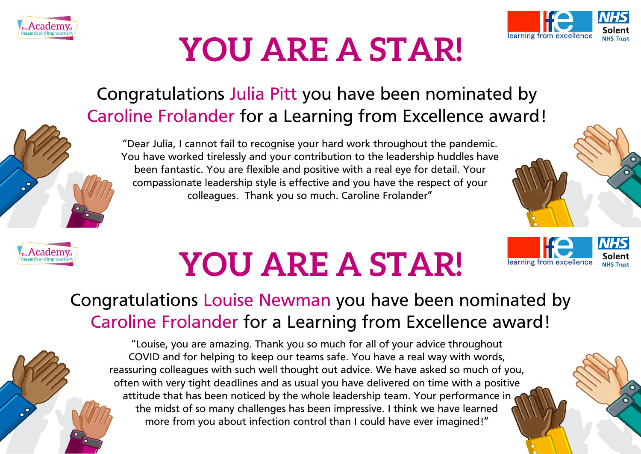



#### Congratulations Julia Pitt you have been nominated by Caroline Frolander for a Learning from Excellence award!

"Dear Julia, I cannot fail to recognise your hard work throughout the pandemic. You have worked tirelessly and your contribution to the leadership huddles have been fantastic. You are flexible and positive with a real eye for detail. Your compassionate leadership style is effective and you have the respect of your colleagues. Thank you so much. Caroline Frolander"



learning from excellence



# **YOU ARE A STAR!**

#### Congratulations Louise Newman you have been nominated by Caroline Frolander for a Learning from Excellence award!

"Louise, you are amazing. Thank you so much for all of your advice throughout COVID and for helping to keep our teams safe. You have a real way with words, reassuring colleagues with such well thought out advice. We have asked so much of you, often with very tight deadlines and as usual you have delivered on time with a positive attitude that has been noticed by the whole leadership team. Your performance in the midst of so many challenges has been impressive. I think we have learned more from you about infection control than I could have ever imagined!"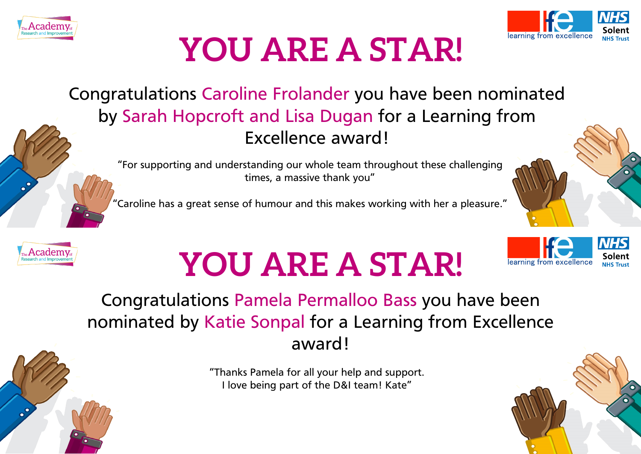



Congratulations Caroline Frolander you have been nominated by Sarah Hopcroft and Lisa Dugan for a Learning from Excellence award!

"For supporting and understanding our whole team throughout these challenging times, a massive thank you"

"Caroline has a great sense of humour and this makes working with her a pleasure."



# **YOU ARE A STAR!**



#### Congratulations Pamela Permalloo Bass you have been nominated by Katie Sonpal for a Learning from Excellence award!

"Thanks Pamela for all your help and support. I love being part of the D&I team! Kate"

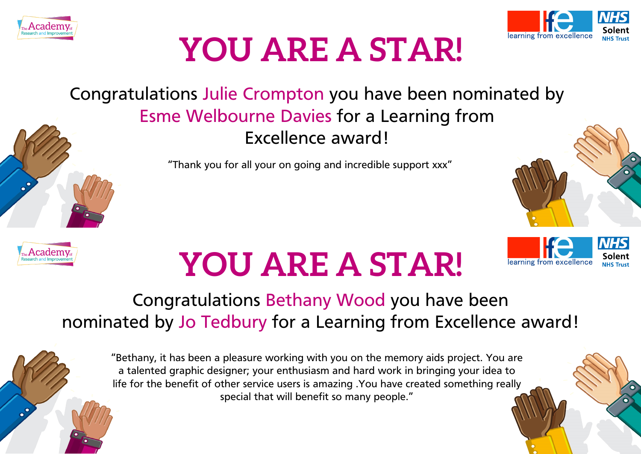



#### Congratulations Julie Crompton you have been nominated by Esme Welbourne Davies for a Learning from Excellence award!

"Thank you for all your on going and incredible support xxx"



# **YOU ARE A STAR!**

#### Congratulations Bethany Wood you have been nominated by Jo Tedbury for a Learning from Excellence award!

"Bethany, it has been a pleasure working with you on the memory aids project. You are a talented graphic designer; your enthusiasm and hard work in bringing your idea to life for the benefit of other service users is amazing .You have created something really special that will benefit so many people."

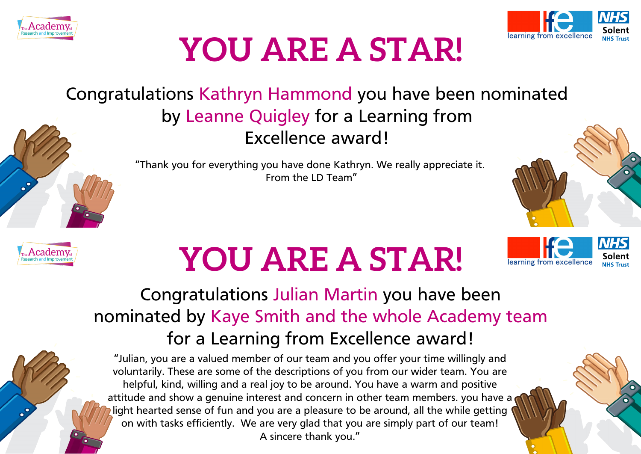



#### Congratulations Kathryn Hammond you have been nominated by Leanne Quigley for a Learning from Excellence award!

"Thank you for everything you have done Kathryn. We really appreciate it. From the LD Team"





### **YOU ARE A STAR!**

#### Congratulations Julian Martin you have been nominated by Kaye Smith and the whole Academy team for a Learning from Excellence award!

"Julian, you are a valued member of our team and you offer your time willingly and voluntarily. These are some of the descriptions of you from our wider team. You are helpful, kind, willing and a real joy to be around. You have a warm and positive attitude and show a genuine interest and concern in other team members. you have a light hearted sense of fun and you are a pleasure to be around, all the while getting on with tasks efficiently. We are very glad that you are simply part of our team! A sincere thank you."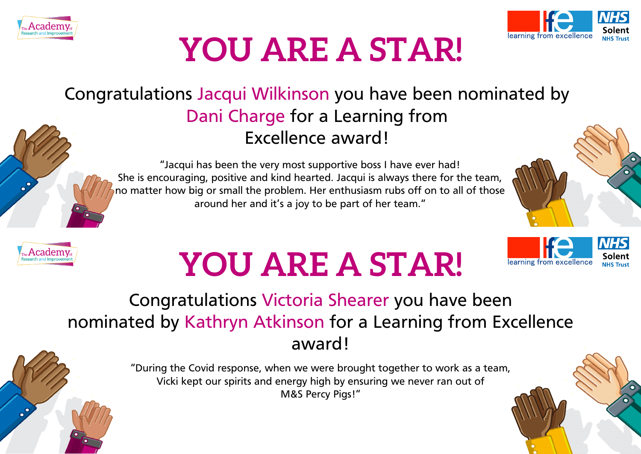



#### Congratulations Jacqui Wilkinson you have been nominated by Dani Charge for a Learning from Excellence award!



"Jacqui has been the very most supportive boss I have ever had! She is encouraging, positive and kind hearted. Jacqui is always there for the team, no matter how big or small the problem. Her enthusiasm rubs off on to all of those around her and it's a joy to be part of her team."



learning from excellence

**NHS** 



# **YOU ARE A STAR!**



"During the Covid response, when we were brought together to work as a team, Vicki kept our spirits and energy high by ensuring we never ran out of M&S Percy Pigs!"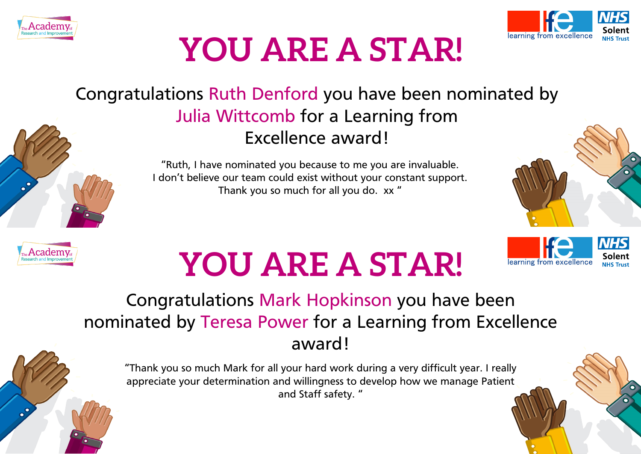



#### Congratulations Ruth Denford you have been nominated by Julia Wittcomb for a Learning from Excellence award!

"Ruth, I have nominated you because to me you are invaluable. I don't believe our team could exist without your constant support. Thank you so much for all you do. xx "



learning from excellence



# **YOU ARE A STAR!**

#### Congratulations Mark Hopkinson you have been nominated by Teresa Power for a Learning from Excellence award!

"Thank you so much Mark for all your hard work during a very difficult year. I really appreciate your determination and willingness to develop how we manage Patient and Staff safety. "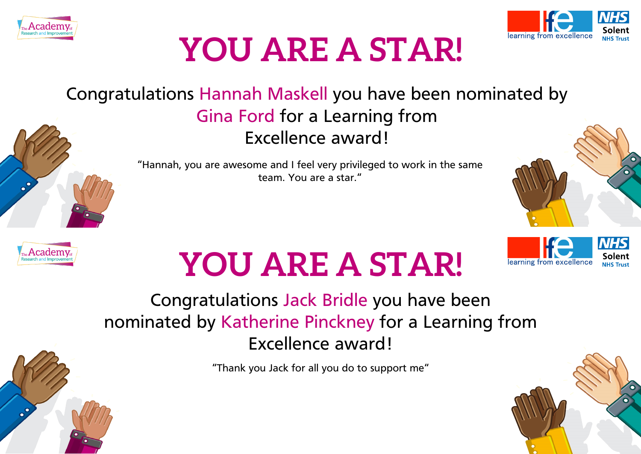



#### Congratulations Hannah Maskell you have been nominated by Gina Ford for a Learning from Excellence award!





learning from excellence



# **YOU ARE A STAR!**

#### Congratulations Jack Bridle you have been nominated by Katherine Pinckney for a Learning from Excellence award!

"Thank you Jack for all you do to support me"

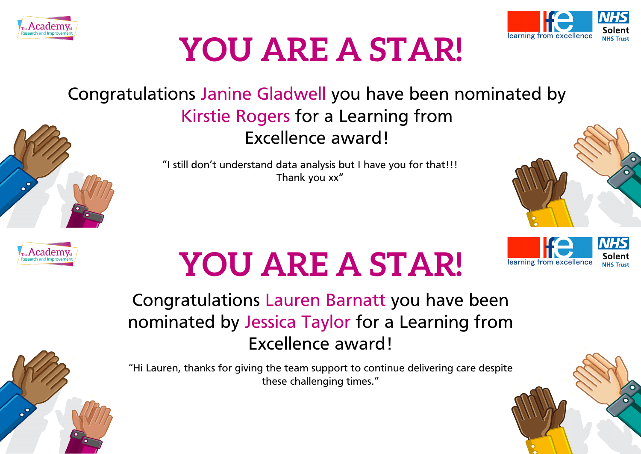



#### Congratulations Janine Gladwell you have been nominated by Kirstie Rogers for a Learning from Excellence award!

"I still don't understand data analysis but I have you for that!!! Thank you xx"



learning from excellence

# **YOU ARE A STAR!**

Congratulations Lauren Barnatt you have been nominated by Jessica Taylor for a Learning from Excellence award!

"Hi Lauren, thanks for giving the team support to continue delivering care despite these challenging times."

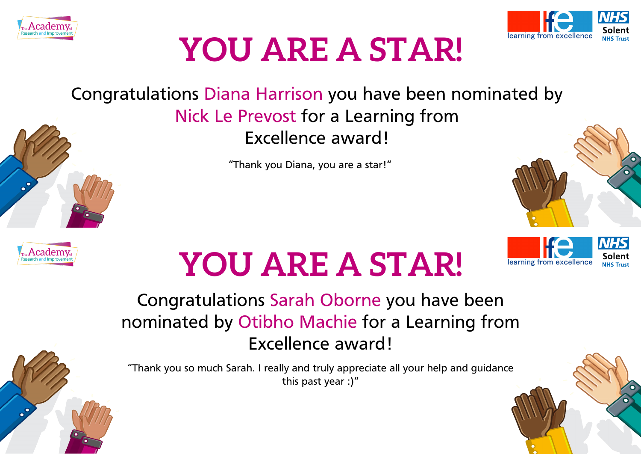



#### Congratulations Diana Harrison you have been nominated by Nick Le Prevost for a Learning from Excellence award!

"Thank you Diana, you are a star!"



# **YOU ARE A STAR!**

#### Congratulations Sarah Oborne you have been nominated by Otibho Machie for a Learning from Excellence award!

"Thank you so much Sarah. I really and truly appreciate all your help and guidance this past year :)"

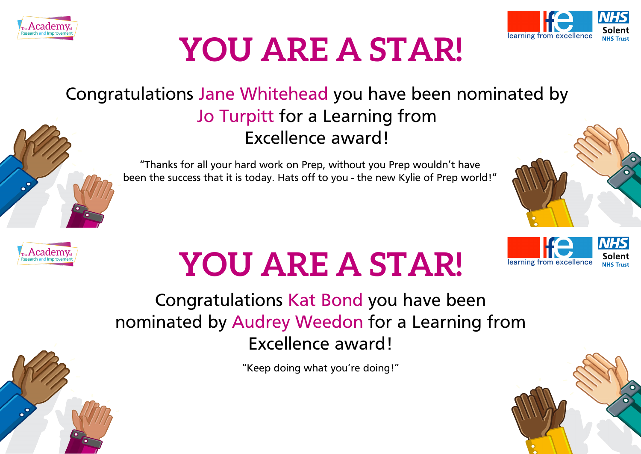



#### Congratulations Jane Whitehead you have been nominated by Jo Turpitt for a Learning from Excellence award!



"Thanks for all your hard work on Prep, without you Prep wouldn't have been the success that it is today. Hats off to you - the new Kylie of Prep world!"



# **YOU ARE A STAR!**

Congratulations Kat Bond you have been nominated by Audrey Weedon for a Learning from Excellence award!

"Keep doing what you're doing!"

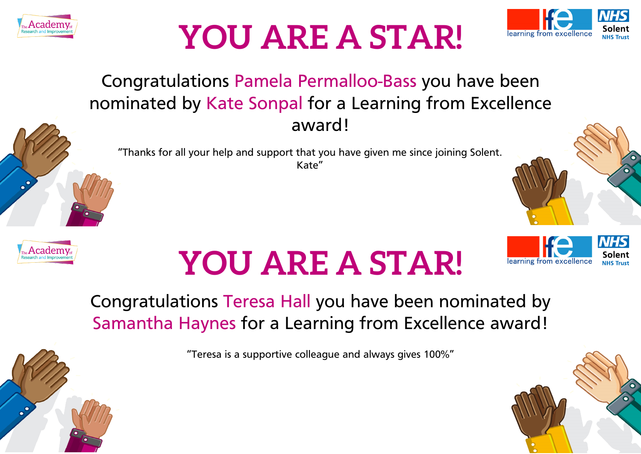



#### Congratulations Pamela Permalloo-Bass you have been nominated by Kate Sonpal for a Learning from Excellence award!

"Thanks for all your help and support that you have given me since joining Solent. Kate"





# **YOU ARE A STAR!**



#### Congratulations Teresa Hall you have been nominated by Samantha Haynes for a Learning from Excellence award!

"Teresa is a supportive colleague and always gives 100%"